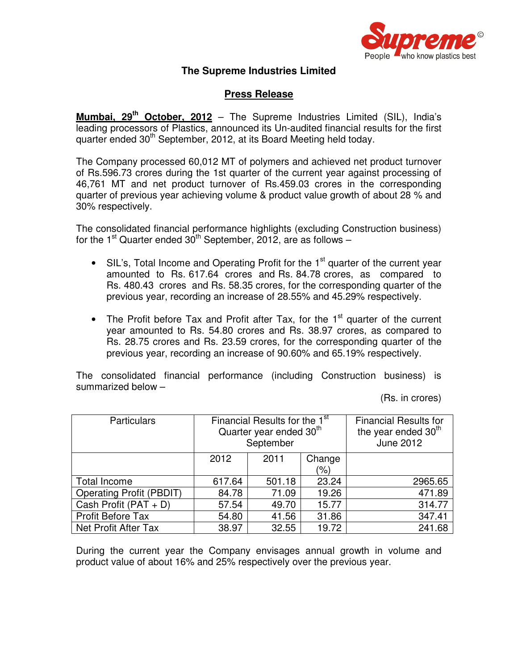

## **The Supreme Industries Limited**

## **Press Release**

**Mumbai, 29 th October, 2012** – The Supreme Industries Limited (SIL), India's leading processors of Plastics, announced its Un-audited financial results for the first quarter ended 30<sup>th</sup> September, 2012, at its Board Meeting held today.

The Company processed 60,012 MT of polymers and achieved net product turnover of Rs.596.73 crores during the 1st quarter of the current year against processing of 46,761 MT and net product turnover of Rs.459.03 crores in the corresponding quarter of previous year achieving volume & product value growth of about 28 % and 30% respectively.

The consolidated financial performance highlights (excluding Construction business) for the 1<sup>st</sup> Quarter ended 30<sup>th</sup> September, 2012, are as follows -

- SIL's, Total Income and Operating Profit for the 1<sup>st</sup> quarter of the current year amounted to Rs. 617.64 crores and Rs. 84.78 crores, as compared to Rs. 480.43 crores and Rs. 58.35 crores, for the corresponding quarter of the previous year, recording an increase of 28.55% and 45.29% respectively.
- The Profit before Tax and Profit after Tax, for the  $1<sup>st</sup>$  quarter of the current year amounted to Rs. 54.80 crores and Rs. 38.97 crores, as compared to Rs. 28.75 crores and Rs. 23.59 crores, for the corresponding quarter of the previous year, recording an increase of 90.60% and 65.19% respectively.

The consolidated financial performance (including Construction business) is summarized below –

(Rs. in crores)

| <b>Particulars</b>       | Financial Results for the 1 <sup>st</sup><br>Quarter year ended 30 <sup>th</sup><br>September |        |                   | <b>Financial Results for</b><br>the year ended 30 <sup>th</sup><br><b>June 2012</b> |
|--------------------------|-----------------------------------------------------------------------------------------------|--------|-------------------|-------------------------------------------------------------------------------------|
|                          | 2012                                                                                          | 2011   | Change<br>$(\% )$ |                                                                                     |
| <b>Total Income</b>      |                                                                                               |        | 23.24             | 2965.65                                                                             |
|                          | 617.64                                                                                        | 501.18 |                   |                                                                                     |
| Operating Profit (PBDIT) | 84.78                                                                                         | 71.09  | 19.26             | 471.89                                                                              |
| Cash Profit $(PAT + D)$  | 57.54                                                                                         | 49.70  | 15.77             | 314.77                                                                              |
| <b>Profit Before Tax</b> | 54.80                                                                                         | 41.56  | 31.86             | 347.41                                                                              |
| Net Profit After Tax     | 38.97                                                                                         | 32.55  | 19.72             | 241.68                                                                              |

During the current year the Company envisages annual growth in volume and product value of about 16% and 25% respectively over the previous year.